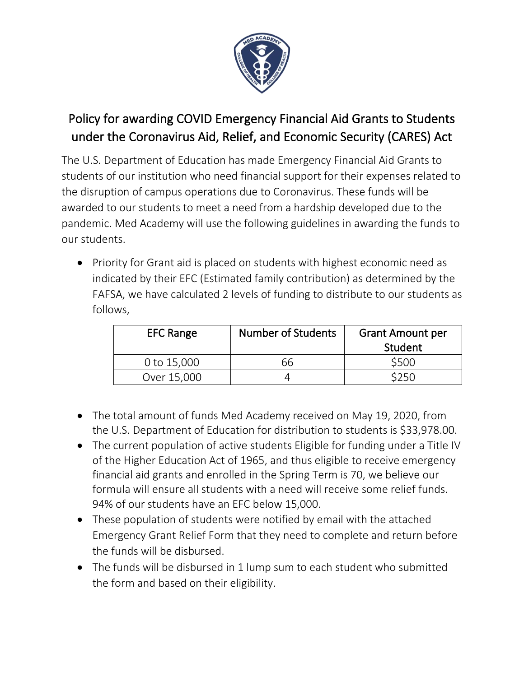

## Policy for awarding COVID Emergency Financial Aid Grants to Students under the Coronavirus Aid, Relief, and Economic Security (CARES) Act

The U.S. Department of Education has made Emergency Financial Aid Grants to students of our institution who need financial support for their expenses related to the disruption of campus operations due to Coronavirus. These funds will be awarded to our students to meet a need from a hardship developed due to the pandemic. Med Academy will use the following guidelines in awarding the funds to our students.

• Priority for Grant aid is placed on students with highest economic need as indicated by their EFC (Estimated family contribution) as determined by the FAFSA, we have calculated 2 levels of funding to distribute to our students as follows,

| <b>EFC Range</b> | <b>Number of Students</b> | <b>Grant Amount per</b><br>Student |
|------------------|---------------------------|------------------------------------|
| 0 to 15,000      | 66                        | \$500                              |
| Over 15,000      |                           | <b>3250</b>                        |

- The total amount of funds Med Academy received on May 19, 2020, from the U.S. Department of Education for distribution to students is \$33,978.00.
- The current population of active students Eligible for funding under a Title IV of the Higher Education Act of 1965, and thus eligible to receive emergency financial aid grants and enrolled in the Spring Term is 70, we believe our formula will ensure all students with a need will receive some relief funds. 94% of our students have an EFC below 15,000.
- These population of students were notified by email with the attached Emergency Grant Relief Form that they need to complete and return before the funds will be disbursed.
- The funds will be disbursed in 1 lump sum to each student who submitted the form and based on their eligibility.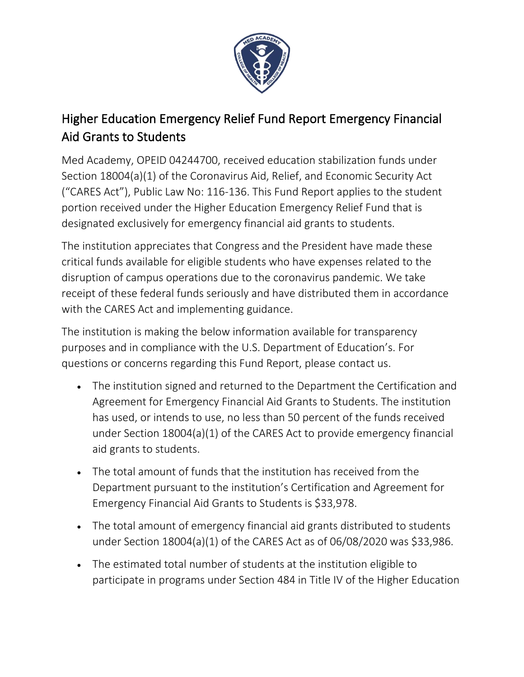

## Higher Education Emergency Relief Fund Report Emergency Financial Aid Grants to Students

Med Academy, OPEID 04244700, received education stabilization funds under Section 18004(a)(1) of the Coronavirus Aid, Relief, and Economic Security Act ("CARES Act"), Public Law No: 116-136. This Fund Report applies to the student portion received under the Higher Education Emergency Relief Fund that is designated exclusively for emergency financial aid grants to students.

The institution appreciates that Congress and the President have made these critical funds available for eligible students who have expenses related to the disruption of campus operations due to the coronavirus pandemic. We take receipt of these federal funds seriously and have distributed them in accordance with the CARES Act and implementing guidance.

The institution is making the below information available for transparency purposes and in compliance with the U.S. Department of Education's. For questions or concerns regarding this Fund Report, please [contact us.](mailto:KUCaresAct@keiseruniversity.edu)

- The institution signed and returned to the Department the Certification and Agreement for Emergency Financial Aid Grants to Students. The institution has used, or intends to use, no less than 50 percent of the funds received under Section 18004(a)(1) of the CARES Act to provide emergency financial aid grants to students.
- The total amount of funds that the institution has received from the Department pursuant to the institution's Certification and Agreement for Emergency Financial Aid Grants to Students is \$33,978.
- The total amount of emergency financial aid grants distributed to students under Section 18004(a)(1) of the CARES Act as of 06/08/2020 was \$33,986.
- The estimated total number of students at the institution eligible to participate in programs under Section 484 in Title IV of the Higher Education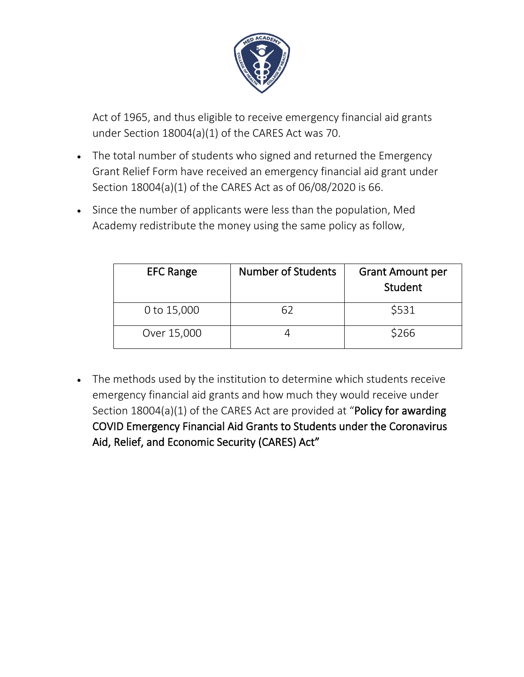

Act of 1965, and thus eligible to receive emergency financial aid grants under Section 18004(a)(1) of the CARES Act was 70.

- The total number of students who signed and returned the Emergency Grant Relief Form have received an emergency financial aid grant under Section 18004(a)(1) of the CARES Act as of 06/08/2020 is 66.
- Since the number of applicants were less than the population, Med Academy redistribute the money using the same policy as follow,

| <b>EFC Range</b> | <b>Number of Students</b> | <b>Grant Amount per</b><br>Student |
|------------------|---------------------------|------------------------------------|
| 0 to 15,000      |                           | \$531                              |
| Over 15,000      |                           | \$266                              |

• The methods used by the institution to determine which students receive emergency financial aid grants and how much they would receive under Section 18004(a)(1) of the CARES Act are provided at "Policy for awarding COVID Emergency Financial Aid Grants to Students under the Coronavirus Aid, Relief, and Economic Security (CARES) Act"